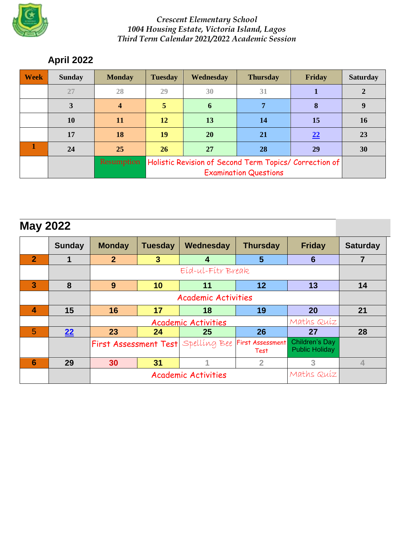

### *Crescent Elementary School 1004 Housing Estate, Victoria Island, Lagos Third Term Calendar 2021/2022 Academic Session*

# **April 2022**

| <b>Week</b> | <b>Sunday</b> | <b>Monday</b> | <b>Tuesday</b>                                         | <b>Wednesday</b> | <b>Thursday</b> | Friday | <b>Saturday</b> |
|-------------|---------------|---------------|--------------------------------------------------------|------------------|-----------------|--------|-----------------|
|             | 27            | 28            | 29                                                     | 30               | 31              |        |                 |
|             | 3             | 4             |                                                        | 6                |                 | 8      | 9               |
|             | 10            | <b>11</b>     | 12                                                     | 13               | <b>14</b>       | 15     | <b>16</b>       |
|             | 17            | 18            | 19                                                     | 20               | 21              | 22     | 23              |
|             | 24            | 25            | 26                                                     | 27               | 28              | 29     | 30              |
|             |               | Resumption    | Holistic Revision of Second Term Topics/ Correction of |                  |                 |        |                 |
|             |               |               |                                                        |                  |                 |        |                 |

| <b>May 2022</b>         |               |                                                                                                                         |                            |            |                 |                 |                 |  |  |  |
|-------------------------|---------------|-------------------------------------------------------------------------------------------------------------------------|----------------------------|------------|-----------------|-----------------|-----------------|--|--|--|
|                         | <b>Sunday</b> | <b>Monday</b>                                                                                                           | <b>Tuesday</b>             | Wednesday  | <b>Thursday</b> | <b>Friday</b>   | <b>Saturday</b> |  |  |  |
| $\overline{2}$          |               | 2 <sup>1</sup>                                                                                                          | $\mathbf{3}$               | 4          | 5               | $6\phantom{1}6$ | 7               |  |  |  |
|                         |               |                                                                                                                         | Eid-ul-Fitr Break          |            |                 |                 |                 |  |  |  |
| $\overline{\mathbf{3}}$ | 8             | 9                                                                                                                       | 10                         | 11         | 12              | 13              | 14              |  |  |  |
|                         |               |                                                                                                                         |                            |            |                 |                 |                 |  |  |  |
| $\overline{\mathbf{4}}$ | 15            | 16                                                                                                                      | 17                         | 18         | 19              | 20              | 21              |  |  |  |
|                         |               |                                                                                                                         |                            |            |                 |                 |                 |  |  |  |
| 5                       | 22            | 23                                                                                                                      | 24                         | 25         | 26              | 27              | 28              |  |  |  |
|                         |               | <b>Children's Day</b><br><b>First Assessment</b><br>First Assessment Test Spelling Bee<br><b>Public Holiday</b><br>Test |                            |            |                 |                 |                 |  |  |  |
| $6\phantom{1}6$         | 29            | 30                                                                                                                      | 31                         |            | $\overline{2}$  | 3               | $\overline{4}$  |  |  |  |
|                         |               |                                                                                                                         | <b>Academic Activities</b> | Maths Quiz |                 |                 |                 |  |  |  |